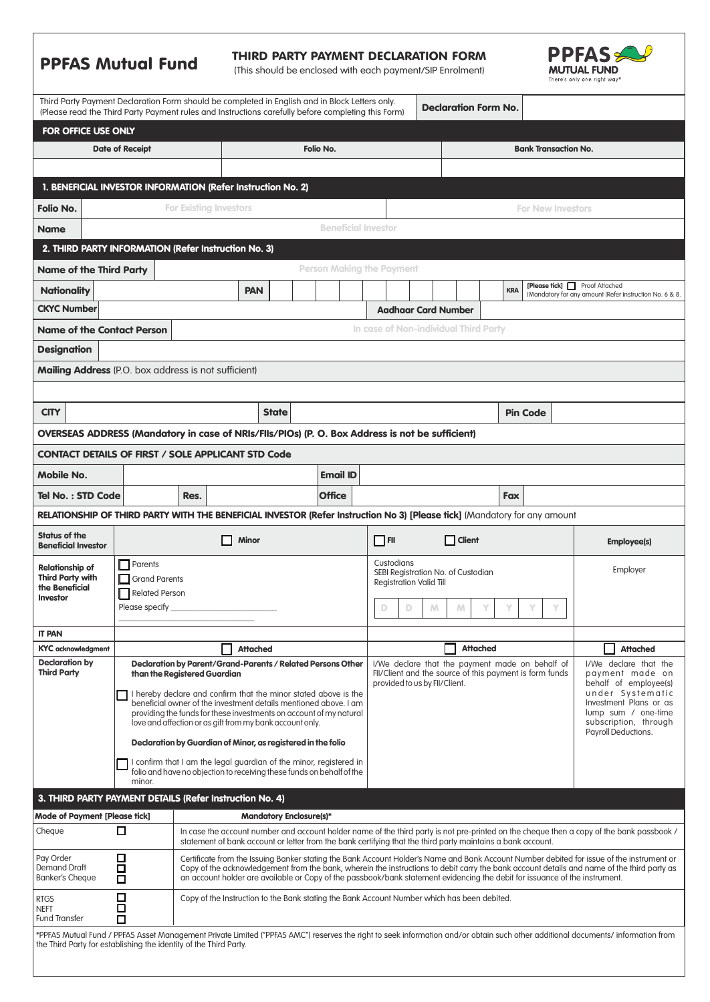|                                                                                                                                                                                                                                                       | <b>PPFAS Mutual Fund</b>                                                                                                                                   |                                                                                                                                                                                                                                                                                                                                                                                                                        |                                |              | THIRD PARTY PAYMENT DECLARATION FORM<br>(This should be enclosed with each payment/SIP Enrolment) |           |                                  |                            |                                                 |                            |                                    |            |                             | <b>PPFAS</b><br>MUTUAL FUND<br>There's only one right way <sup>®</sup> |                                                                                                                                           |  |
|-------------------------------------------------------------------------------------------------------------------------------------------------------------------------------------------------------------------------------------------------------|------------------------------------------------------------------------------------------------------------------------------------------------------------|------------------------------------------------------------------------------------------------------------------------------------------------------------------------------------------------------------------------------------------------------------------------------------------------------------------------------------------------------------------------------------------------------------------------|--------------------------------|--------------|---------------------------------------------------------------------------------------------------|-----------|----------------------------------|----------------------------|-------------------------------------------------|----------------------------|------------------------------------|------------|-----------------------------|------------------------------------------------------------------------|-------------------------------------------------------------------------------------------------------------------------------------------|--|
| Third Party Payment Declaration Form should be completed in English and in Block Letters only.<br>(Please read the Third Party Payment rules and Instructions carefully before completing this Form)                                                  |                                                                                                                                                            |                                                                                                                                                                                                                                                                                                                                                                                                                        |                                |              |                                                                                                   |           |                                  |                            |                                                 |                            | <b>Declaration Form No.</b>        |            |                             |                                                                        |                                                                                                                                           |  |
| FOR OFFICE USE ONLY                                                                                                                                                                                                                                   |                                                                                                                                                            |                                                                                                                                                                                                                                                                                                                                                                                                                        |                                |              |                                                                                                   |           |                                  |                            |                                                 |                            |                                    |            |                             |                                                                        |                                                                                                                                           |  |
|                                                                                                                                                                                                                                                       | <b>Date of Receipt</b>                                                                                                                                     |                                                                                                                                                                                                                                                                                                                                                                                                                        |                                |              |                                                                                                   | Folio No. |                                  |                            |                                                 |                            |                                    |            | <b>Bank Transaction No.</b> |                                                                        |                                                                                                                                           |  |
|                                                                                                                                                                                                                                                       |                                                                                                                                                            |                                                                                                                                                                                                                                                                                                                                                                                                                        |                                |              |                                                                                                   |           |                                  |                            |                                                 |                            |                                    |            |                             |                                                                        |                                                                                                                                           |  |
| 1. BENEFICIAL INVESTOR INFORMATION (Refer Instruction No. 2)                                                                                                                                                                                          |                                                                                                                                                            |                                                                                                                                                                                                                                                                                                                                                                                                                        |                                |              |                                                                                                   |           |                                  |                            |                                                 |                            |                                    |            |                             |                                                                        |                                                                                                                                           |  |
| <b>Folio No.</b>                                                                                                                                                                                                                                      | <b>For Existing Investors</b><br><b>For New Investors</b>                                                                                                  |                                                                                                                                                                                                                                                                                                                                                                                                                        |                                |              |                                                                                                   |           |                                  |                            |                                                 |                            |                                    |            |                             |                                                                        |                                                                                                                                           |  |
| <b>Name</b>                                                                                                                                                                                                                                           |                                                                                                                                                            |                                                                                                                                                                                                                                                                                                                                                                                                                        |                                |              |                                                                                                   |           | <b>Beneficial Investor</b>       |                            |                                                 |                            |                                    |            |                             |                                                                        |                                                                                                                                           |  |
| 2. THIRD PARTY INFORMATION (Refer Instruction No. 3)                                                                                                                                                                                                  |                                                                                                                                                            |                                                                                                                                                                                                                                                                                                                                                                                                                        |                                |              |                                                                                                   |           |                                  |                            |                                                 |                            |                                    |            |                             |                                                                        |                                                                                                                                           |  |
| <b>Name of the Third Party</b>                                                                                                                                                                                                                        |                                                                                                                                                            |                                                                                                                                                                                                                                                                                                                                                                                                                        |                                |              |                                                                                                   |           | <b>Person Making the Payment</b> |                            |                                                 |                            |                                    |            |                             |                                                                        |                                                                                                                                           |  |
| <b>Nationality</b>                                                                                                                                                                                                                                    |                                                                                                                                                            |                                                                                                                                                                                                                                                                                                                                                                                                                        | <b>PAN</b>                     |              |                                                                                                   |           |                                  |                            |                                                 |                            |                                    | <b>KRA</b> |                             |                                                                        | [Please tick] Proof Attached<br>(Mandatory for any amount (Refer instruction No. 6 & 8                                                    |  |
| <b>CKYC Number</b>                                                                                                                                                                                                                                    |                                                                                                                                                            |                                                                                                                                                                                                                                                                                                                                                                                                                        |                                |              |                                                                                                   |           |                                  |                            |                                                 | <b>Aadhaar Card Number</b> |                                    |            |                             |                                                                        |                                                                                                                                           |  |
| <b>Name of the Contact Person</b>                                                                                                                                                                                                                     | In case of Non-individual Third Party                                                                                                                      |                                                                                                                                                                                                                                                                                                                                                                                                                        |                                |              |                                                                                                   |           |                                  |                            |                                                 |                            |                                    |            |                             |                                                                        |                                                                                                                                           |  |
| <b>Designation</b>                                                                                                                                                                                                                                    |                                                                                                                                                            |                                                                                                                                                                                                                                                                                                                                                                                                                        |                                |              |                                                                                                   |           |                                  |                            |                                                 |                            |                                    |            |                             |                                                                        |                                                                                                                                           |  |
| Mailing Address (P.O. box address is not sufficient)                                                                                                                                                                                                  |                                                                                                                                                            |                                                                                                                                                                                                                                                                                                                                                                                                                        |                                |              |                                                                                                   |           |                                  |                            |                                                 |                            |                                    |            |                             |                                                                        |                                                                                                                                           |  |
|                                                                                                                                                                                                                                                       |                                                                                                                                                            |                                                                                                                                                                                                                                                                                                                                                                                                                        |                                |              |                                                                                                   |           |                                  |                            |                                                 |                            |                                    |            |                             |                                                                        |                                                                                                                                           |  |
| <b>CITY</b>                                                                                                                                                                                                                                           |                                                                                                                                                            |                                                                                                                                                                                                                                                                                                                                                                                                                        |                                | <b>State</b> |                                                                                                   |           |                                  |                            |                                                 |                            |                                    |            | <b>Pin Code</b>             |                                                                        |                                                                                                                                           |  |
|                                                                                                                                                                                                                                                       |                                                                                                                                                            |                                                                                                                                                                                                                                                                                                                                                                                                                        |                                |              |                                                                                                   |           |                                  |                            |                                                 |                            |                                    |            |                             |                                                                        |                                                                                                                                           |  |
| OVERSEAS ADDRESS (Mandatory in case of NRIs/FIIs/PIOs) (P. O. Box Address is not be sufficient)<br><b>CONTACT DETAILS OF FIRST / SOLE APPLICANT STD Code</b>                                                                                          |                                                                                                                                                            |                                                                                                                                                                                                                                                                                                                                                                                                                        |                                |              |                                                                                                   |           |                                  |                            |                                                 |                            |                                    |            |                             |                                                                        |                                                                                                                                           |  |
| <b>Mobile No.</b>                                                                                                                                                                                                                                     |                                                                                                                                                            |                                                                                                                                                                                                                                                                                                                                                                                                                        |                                |              |                                                                                                   |           | <b>Email ID</b>                  |                            |                                                 |                            |                                    |            |                             |                                                                        |                                                                                                                                           |  |
| Tel No.: STD Code                                                                                                                                                                                                                                     |                                                                                                                                                            | Res.                                                                                                                                                                                                                                                                                                                                                                                                                   |                                |              |                                                                                                   |           |                                  |                            |                                                 |                            |                                    | <b>Fax</b> |                             |                                                                        |                                                                                                                                           |  |
| <b>Office</b><br>RELATIONSHIP OF THIRD PARTY WITH THE BENEFICIAL INVESTOR (Refer Instruction No 3) [Please tick] (Mandatory for any amount                                                                                                            |                                                                                                                                                            |                                                                                                                                                                                                                                                                                                                                                                                                                        |                                |              |                                                                                                   |           |                                  |                            |                                                 |                            |                                    |            |                             |                                                                        |                                                                                                                                           |  |
| Status of the                                                                                                                                                                                                                                         |                                                                                                                                                            |                                                                                                                                                                                                                                                                                                                                                                                                                        |                                |              |                                                                                                   |           |                                  |                            |                                                 |                            |                                    |            |                             |                                                                        |                                                                                                                                           |  |
| <b>Beneficial Investor</b>                                                                                                                                                                                                                            |                                                                                                                                                            |                                                                                                                                                                                                                                                                                                                                                                                                                        | Minor                          |              |                                                                                                   |           |                                  | $\Box$ FII                 |                                                 |                            | Client                             |            |                             |                                                                        | <b>Employee(s)</b>                                                                                                                        |  |
| <b>Relationship of</b>                                                                                                                                                                                                                                | $\Box$ Parents                                                                                                                                             |                                                                                                                                                                                                                                                                                                                                                                                                                        |                                |              |                                                                                                   |           |                                  | Custodians                 |                                                 |                            | SEBI Registration No. of Custodian |            |                             |                                                                        | Employer                                                                                                                                  |  |
| the Beneficial                                                                                                                                                                                                                                        | <b>Third Party with</b><br>Grand Parents<br>Related Person                                                                                                 |                                                                                                                                                                                                                                                                                                                                                                                                                        |                                |              |                                                                                                   |           |                                  |                            |                                                 |                            | <b>Registration Valid Till</b>     |            |                             |                                                                        |                                                                                                                                           |  |
| Investor                                                                                                                                                                                                                                              | Please specify                                                                                                                                             |                                                                                                                                                                                                                                                                                                                                                                                                                        |                                |              |                                                                                                   |           |                                  | D<br>Υ<br>D<br>M<br>M<br>Υ |                                                 |                            |                                    |            |                             |                                                                        |                                                                                                                                           |  |
| <b>IT PAN</b>                                                                                                                                                                                                                                         |                                                                                                                                                            |                                                                                                                                                                                                                                                                                                                                                                                                                        |                                |              |                                                                                                   |           |                                  |                            |                                                 |                            |                                    |            |                             |                                                                        |                                                                                                                                           |  |
| <b>KYC</b> acknowledgment                                                                                                                                                                                                                             |                                                                                                                                                            |                                                                                                                                                                                                                                                                                                                                                                                                                        | <b>Attached</b>                |              |                                                                                                   |           |                                  |                            |                                                 |                            | <b>Attached</b>                    |            |                             |                                                                        | <b>Attached</b>                                                                                                                           |  |
| <b>Declaration by</b><br><b>Third Party</b>                                                                                                                                                                                                           | Declaration by Parent/Grand-Parents / Related Persons Other                                                                                                |                                                                                                                                                                                                                                                                                                                                                                                                                        |                                |              |                                                                                                   |           |                                  |                            | I/We declare that the payment made on behalf of |                            |                                    |            |                             |                                                                        | I/We declare that the<br>payment made on                                                                                                  |  |
|                                                                                                                                                                                                                                                       | FII/Client and the source of this payment is form funds<br>than the Registered Guardian<br>provided to us by FII/Client.                                   |                                                                                                                                                                                                                                                                                                                                                                                                                        |                                |              |                                                                                                   |           |                                  |                            | behalf of employee(s)<br>under Systematic       |                            |                                    |            |                             |                                                                        |                                                                                                                                           |  |
|                                                                                                                                                                                                                                                       | I hereby declare and confirm that the minor stated above is the<br>beneficial owner of the investment details mentioned above. I am<br>lump sum / one-time |                                                                                                                                                                                                                                                                                                                                                                                                                        |                                |              |                                                                                                   |           |                                  |                            | Investment Plans or as                          |                            |                                    |            |                             |                                                                        |                                                                                                                                           |  |
|                                                                                                                                                                                                                                                       | providing the funds for these investments on account of my natural<br>love and affection or as gift from my bank account only.                             |                                                                                                                                                                                                                                                                                                                                                                                                                        |                                |              |                                                                                                   |           |                                  |                            |                                                 |                            |                                    |            |                             | subscription, through                                                  |                                                                                                                                           |  |
|                                                                                                                                                                                                                                                       | Payroll Deductions.<br>Declaration by Guardian of Minor, as registered in the folio                                                                        |                                                                                                                                                                                                                                                                                                                                                                                                                        |                                |              |                                                                                                   |           |                                  |                            |                                                 |                            |                                    |            |                             |                                                                        |                                                                                                                                           |  |
|                                                                                                                                                                                                                                                       | minor.                                                                                                                                                     | I confirm that I am the legal guardian of the minor, registered in<br>folio and have no objection to receiving these funds on behalf of the                                                                                                                                                                                                                                                                            |                                |              |                                                                                                   |           |                                  |                            |                                                 |                            |                                    |            |                             |                                                                        |                                                                                                                                           |  |
| 3. THIRD PARTY PAYMENT DETAILS (Refer Instruction No. 4)                                                                                                                                                                                              |                                                                                                                                                            |                                                                                                                                                                                                                                                                                                                                                                                                                        |                                |              |                                                                                                   |           |                                  |                            |                                                 |                            |                                    |            |                             |                                                                        |                                                                                                                                           |  |
| <b>Mode of Payment [Please tick]</b>                                                                                                                                                                                                                  |                                                                                                                                                            |                                                                                                                                                                                                                                                                                                                                                                                                                        | <b>Mandatory Enclosure(s)*</b> |              |                                                                                                   |           |                                  |                            |                                                 |                            |                                    |            |                             |                                                                        |                                                                                                                                           |  |
| Cheque                                                                                                                                                                                                                                                | □                                                                                                                                                          | statement of bank account or letter from the bank certifying that the third party maintains a bank account.                                                                                                                                                                                                                                                                                                            |                                |              |                                                                                                   |           |                                  |                            |                                                 |                            |                                    |            |                             |                                                                        | In case the account number and account holder name of the third party is not pre-printed on the cheque then a copy of the bank passbook / |  |
| Pay Order<br>Demand Draft                                                                                                                                                                                                                             | □<br>□                                                                                                                                                     | Certificate from the Issuing Banker stating the Bank Account Holder's Name and Bank Account Number debited for issue of the instrument or<br>Copy of the acknowledgement from the bank, wherein the instructions to debit carry the bank account details and name of the third party as<br>an account holder are available or Copy of the passbook/bank statement evidencing the debit for issuance of the instrument. |                                |              |                                                                                                   |           |                                  |                            |                                                 |                            |                                    |            |                             |                                                                        |                                                                                                                                           |  |
| <b>Banker's Cheque</b>                                                                                                                                                                                                                                | □                                                                                                                                                          |                                                                                                                                                                                                                                                                                                                                                                                                                        |                                |              |                                                                                                   |           |                                  |                            |                                                 |                            |                                    |            |                             |                                                                        |                                                                                                                                           |  |
| rtgs<br><b>NEFT</b><br>Fund Transfer                                                                                                                                                                                                                  | □<br>$\Box$<br>$\Box$                                                                                                                                      | Copy of the Instruction to the Bank stating the Bank Account Number which has been debited.                                                                                                                                                                                                                                                                                                                            |                                |              |                                                                                                   |           |                                  |                            |                                                 |                            |                                    |            |                             |                                                                        |                                                                                                                                           |  |
| *PPFAS Mutual Fund / PPFAS Asset Management Private Limited ("PPFAS AMC") reserves the right to seek information and/or obtain such other additional documents/ information from<br>the Third Party for establishing the identity of the Third Party. |                                                                                                                                                            |                                                                                                                                                                                                                                                                                                                                                                                                                        |                                |              |                                                                                                   |           |                                  |                            |                                                 |                            |                                    |            |                             |                                                                        |                                                                                                                                           |  |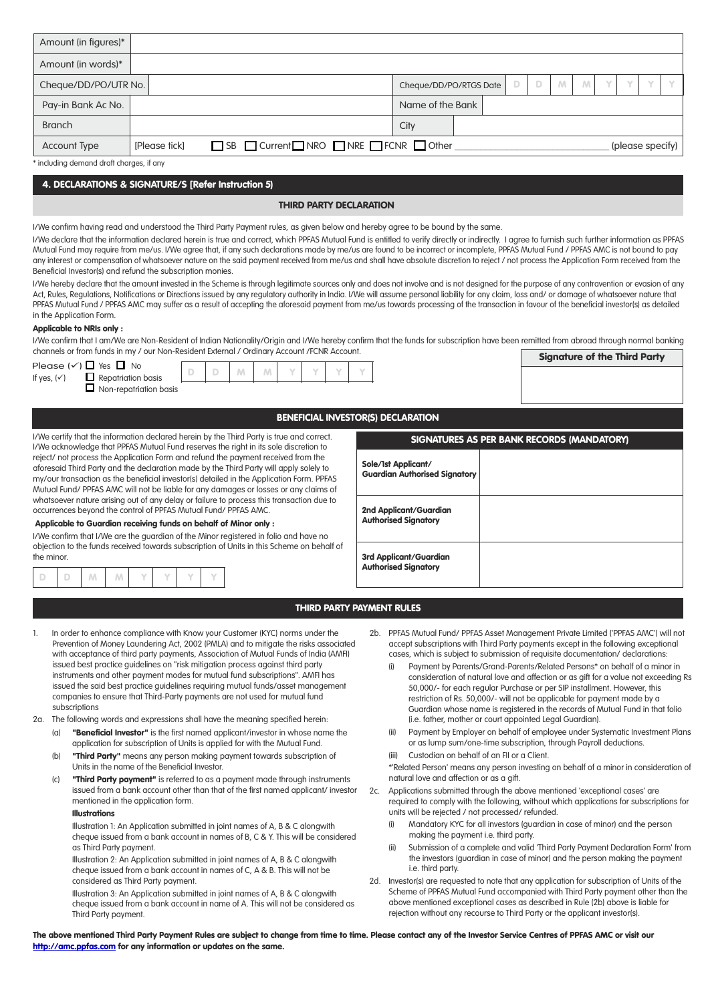| Amount (in figures)*                                                                                                                                                                                                                                                                                                                                                                                                                                                                                                                                                                                                                                                                                                                                                                                                                                                                                                                                                                                                                                                                                                                                                                                                                                                                                                                                                                                                                                                                                                                                                                                                    |                                                                                                                                                                                                                                                                                                                                                                                                                                         |  |  |  |  |  |  |
|-------------------------------------------------------------------------------------------------------------------------------------------------------------------------------------------------------------------------------------------------------------------------------------------------------------------------------------------------------------------------------------------------------------------------------------------------------------------------------------------------------------------------------------------------------------------------------------------------------------------------------------------------------------------------------------------------------------------------------------------------------------------------------------------------------------------------------------------------------------------------------------------------------------------------------------------------------------------------------------------------------------------------------------------------------------------------------------------------------------------------------------------------------------------------------------------------------------------------------------------------------------------------------------------------------------------------------------------------------------------------------------------------------------------------------------------------------------------------------------------------------------------------------------------------------------------------------------------------------------------------|-----------------------------------------------------------------------------------------------------------------------------------------------------------------------------------------------------------------------------------------------------------------------------------------------------------------------------------------------------------------------------------------------------------------------------------------|--|--|--|--|--|--|
| Amount (in words)*                                                                                                                                                                                                                                                                                                                                                                                                                                                                                                                                                                                                                                                                                                                                                                                                                                                                                                                                                                                                                                                                                                                                                                                                                                                                                                                                                                                                                                                                                                                                                                                                      |                                                                                                                                                                                                                                                                                                                                                                                                                                         |  |  |  |  |  |  |
| Cheque/DD/PO/UTR No.                                                                                                                                                                                                                                                                                                                                                                                                                                                                                                                                                                                                                                                                                                                                                                                                                                                                                                                                                                                                                                                                                                                                                                                                                                                                                                                                                                                                                                                                                                                                                                                                    | Υ<br>D<br>D<br>M<br>Y<br>M<br>Cheque/DD/PO/RTGS Date                                                                                                                                                                                                                                                                                                                                                                                    |  |  |  |  |  |  |
| Pay-in Bank Ac No.                                                                                                                                                                                                                                                                                                                                                                                                                                                                                                                                                                                                                                                                                                                                                                                                                                                                                                                                                                                                                                                                                                                                                                                                                                                                                                                                                                                                                                                                                                                                                                                                      | Name of the Bank                                                                                                                                                                                                                                                                                                                                                                                                                        |  |  |  |  |  |  |
| <b>Branch</b>                                                                                                                                                                                                                                                                                                                                                                                                                                                                                                                                                                                                                                                                                                                                                                                                                                                                                                                                                                                                                                                                                                                                                                                                                                                                                                                                                                                                                                                                                                                                                                                                           | City                                                                                                                                                                                                                                                                                                                                                                                                                                    |  |  |  |  |  |  |
| □ SB □ Current□ NRO □ NRE □ FCNR □ Other<br><b>Account Type</b><br>[Please tick]                                                                                                                                                                                                                                                                                                                                                                                                                                                                                                                                                                                                                                                                                                                                                                                                                                                                                                                                                                                                                                                                                                                                                                                                                                                                                                                                                                                                                                                                                                                                        | (please specify)                                                                                                                                                                                                                                                                                                                                                                                                                        |  |  |  |  |  |  |
| * including demand draft charges, if any                                                                                                                                                                                                                                                                                                                                                                                                                                                                                                                                                                                                                                                                                                                                                                                                                                                                                                                                                                                                                                                                                                                                                                                                                                                                                                                                                                                                                                                                                                                                                                                |                                                                                                                                                                                                                                                                                                                                                                                                                                         |  |  |  |  |  |  |
| 4. DECLARATIONS & SIGNATURE/S [Refer Instruction 5)                                                                                                                                                                                                                                                                                                                                                                                                                                                                                                                                                                                                                                                                                                                                                                                                                                                                                                                                                                                                                                                                                                                                                                                                                                                                                                                                                                                                                                                                                                                                                                     |                                                                                                                                                                                                                                                                                                                                                                                                                                         |  |  |  |  |  |  |
| <b>THIRD PARTY DECLARATION</b>                                                                                                                                                                                                                                                                                                                                                                                                                                                                                                                                                                                                                                                                                                                                                                                                                                                                                                                                                                                                                                                                                                                                                                                                                                                                                                                                                                                                                                                                                                                                                                                          |                                                                                                                                                                                                                                                                                                                                                                                                                                         |  |  |  |  |  |  |
| Mutual Fund may require from me/us. I/We agree that, if any such declarations made by me/us are found to be incorrect or incomplete, PPFAS Mutual Fund / PPFAS AMC is not bound to pay<br>any interest or compensation of whatsoever nature on the said payment received from me/us and shall have absolute discretion to reject / not process the Application Form received from the<br>Beneficial Investor(s) and refund the subscription monies.<br>I/We hereby declare that the amount invested in the Scheme is through legitimate sources only and does not involve and is not designed for the purpose of any contravention or evasion of any<br>Act, Rules, Regulations, Notifications or Directions issued by any regulatory authority in India. I/We will assume personal liability for any claim, loss and/ or damage of whatsoever nature that<br>PPFAS Mutual Fund / PPFAS AMC may suffer as a result of accepting the aforesaid payment from me/us towards processing of the transaction in favour of the beneficial investor(s) as detailed<br>in the Application Form.<br><b>Applicable to NRIs only:</b><br>I/We confirm that I am/We are Non-Resident of Indian Nationality/Origin and I/We hereby confirm that the funds for subscription have been remitted from abroad through normal banking<br>channels or from funds in my / our Non-Resident External / Ordinary Account /FCNR Account.<br><b>Signature of the Third Party</b><br>Please $({\checkmark}) \square$ Yes $\square$ No<br>D<br>D<br>M<br>M<br>$\Box$ Repatriation basis<br>If yes, $(\checkmark)$<br>$\Box$ Non-repatriation basis |                                                                                                                                                                                                                                                                                                                                                                                                                                         |  |  |  |  |  |  |
|                                                                                                                                                                                                                                                                                                                                                                                                                                                                                                                                                                                                                                                                                                                                                                                                                                                                                                                                                                                                                                                                                                                                                                                                                                                                                                                                                                                                                                                                                                                                                                                                                         | <b>BENEFICIAL INVESTOR(S) DECLARATION</b>                                                                                                                                                                                                                                                                                                                                                                                               |  |  |  |  |  |  |
| I/We certify that the information declared herein by the Third Party is true and correct.<br>SIGNATURES AS PER BANK RECORDS (MANDATORY)                                                                                                                                                                                                                                                                                                                                                                                                                                                                                                                                                                                                                                                                                                                                                                                                                                                                                                                                                                                                                                                                                                                                                                                                                                                                                                                                                                                                                                                                                 |                                                                                                                                                                                                                                                                                                                                                                                                                                         |  |  |  |  |  |  |
| I/We acknowledge that PPFAS Mutual Fund reserves the right in its sole discretion to<br>reject/ not process the Application Form and refund the payment received from the<br>aforesaid Third Party and the declaration made by the Third Party will apply solely to<br>my/our transaction as the beneficial investor(s) detailed in the Application Form. PPFAS<br>Mutual Fund/ PPFAS AMC will not be liable for any damages or losses or any claims of                                                                                                                                                                                                                                                                                                                                                                                                                                                                                                                                                                                                                                                                                                                                                                                                                                                                                                                                                                                                                                                                                                                                                                 | Sole/1st Applicant/<br><b>Guardian Authorised Signatory</b>                                                                                                                                                                                                                                                                                                                                                                             |  |  |  |  |  |  |
| whatsoever nature arising out of any delay or failure to process this transaction due to<br>occurrences beyond the control of PPFAS Mutual Fund/ PPFAS AMC.                                                                                                                                                                                                                                                                                                                                                                                                                                                                                                                                                                                                                                                                                                                                                                                                                                                                                                                                                                                                                                                                                                                                                                                                                                                                                                                                                                                                                                                             | 2nd Applicant/Guardian                                                                                                                                                                                                                                                                                                                                                                                                                  |  |  |  |  |  |  |
| Applicable to Guardian receiving funds on behalf of Minor only :                                                                                                                                                                                                                                                                                                                                                                                                                                                                                                                                                                                                                                                                                                                                                                                                                                                                                                                                                                                                                                                                                                                                                                                                                                                                                                                                                                                                                                                                                                                                                        | <b>Authorised Signatory</b>                                                                                                                                                                                                                                                                                                                                                                                                             |  |  |  |  |  |  |
| I/We confirm that I/We are the guardian of the Minor registered in folio and have no<br>objection to the funds received towards subscription of Units in this Scheme on behalf of<br>the minor.<br>D<br>M<br>W.<br>Y<br>D                                                                                                                                                                                                                                                                                                                                                                                                                                                                                                                                                                                                                                                                                                                                                                                                                                                                                                                                                                                                                                                                                                                                                                                                                                                                                                                                                                                               | 3rd Applicant/Guardian<br><b>Authorised Signatory</b>                                                                                                                                                                                                                                                                                                                                                                                   |  |  |  |  |  |  |
|                                                                                                                                                                                                                                                                                                                                                                                                                                                                                                                                                                                                                                                                                                                                                                                                                                                                                                                                                                                                                                                                                                                                                                                                                                                                                                                                                                                                                                                                                                                                                                                                                         | THIRD PARTY PAYMENT RULES                                                                                                                                                                                                                                                                                                                                                                                                               |  |  |  |  |  |  |
| In order to enhance compliance with Know your Customer (KYC) norms under the<br>Ι.<br>Prevention of Money Laundering Act, 2002 (PMLA) and to mitigate the risks associated<br>with acceptance of third party payments, Association of Mutual Funds of India (AMFI)<br>issued best practice guidelines on "risk mitigation process against third party<br>instruments and other payment modes for mutual fund subscriptions". AMFI has                                                                                                                                                                                                                                                                                                                                                                                                                                                                                                                                                                                                                                                                                                                                                                                                                                                                                                                                                                                                                                                                                                                                                                                   | 2b. PPFAS Mutual Fund/ PPFAS Asset Management Private Limited ('PPFAS AMC') will not<br>accept subscriptions with Third Party payments except in the following exceptional<br>cases, which is subject to submission of requisite documentation/ declarations:<br>Payment by Parents/Grand-Parents/Related Persons* on behalf of a minor in<br>(i)<br>consideration of natural love and affection or as gift for a value not exceeding R |  |  |  |  |  |  |

- issued the said best practice guidelines requiring mutual funds/asset management companies to ensure that Third-Party payments are not used for mutual fund subscriptions
- 2a. The following words and expressions shall have the meaning specified herein:
	- (a) "Beneficial Investor" is the first named applicant/investor in whose name the application for subscription of Units is applied for with the Mutual Fund.
	- (b) "Third Party" means any person making payment towards subscription of Units in the name of the Beneficial Investor.
	- (c) "Third Party payment" is referred to as a payment made through instruments issued from a bank account other than that of the first named applicant/ investor mentioned in the application form.

# Illustrations

Illustration 1: An Application submitted in joint names of A, B & C alongwith cheque issued from a bank account in names of B, C & Y. This will be considered as Third Party payment.

Illustration 2: An Application submitted in joint names of A, B & C alongwith cheque issued from a bank account in names of C, A & B. This will not be considered as Third Party payment.

Illustration 3: An Application submitted in joint names of A, B & C alongwith cheque issued from a bank account in name of A. This will not be considered as Third Party payment.

- consideration of natural love and affection or as gift for a value not exceeding Rs 50,000/- for each regular Purchase or per SIP installment. However, this restriction of Rs. 50,000/- will not be applicable for payment made by a Guardian whose name is registered in the records of Mutual Fund in that folio (i.e. father, mother or court appointed Legal Guardian).
- (ii) Payment by Employer on behalf of employee under Systematic Investment Plans or as lump sum/one-time subscription, through Payroll deductions.
- (iii) Custodian on behalf of an FII or a Client.
- \*'Related Person' means any person investing on behalf of a minor in consideration of natural love and affection or as a gift.
- 2c. Applications submitted through the above mentioned 'exceptional cases' are required to comply with the following, without which applications for subscriptions for units will be rejected / not processed/ refunded.
	- Mandatory KYC for all investors (guardian in case of minor) and the person making the payment i.e. third party.
	- (ii) Submission of a complete and valid 'Third Party Payment Declaration Form' from the investors (guardian in case of minor) and the person making the payment i.e. third party.
- 2d. Investor(s) are requested to note that any application for subscription of Units of the Scheme of PPFAS Mutual Fund accompanied with Third Party payment other than the above mentioned exceptional cases as described in Rule (2b) above is liable for rejection without any recourse to Third Party or the applicant investor(s).

The above mentioned Third Party Payment Rules are subject to change from time to time. Please contact any of the Investor Service Centres of PPFAS AMC or visit our http://amc.ppfas.com for any information or updates on the same.